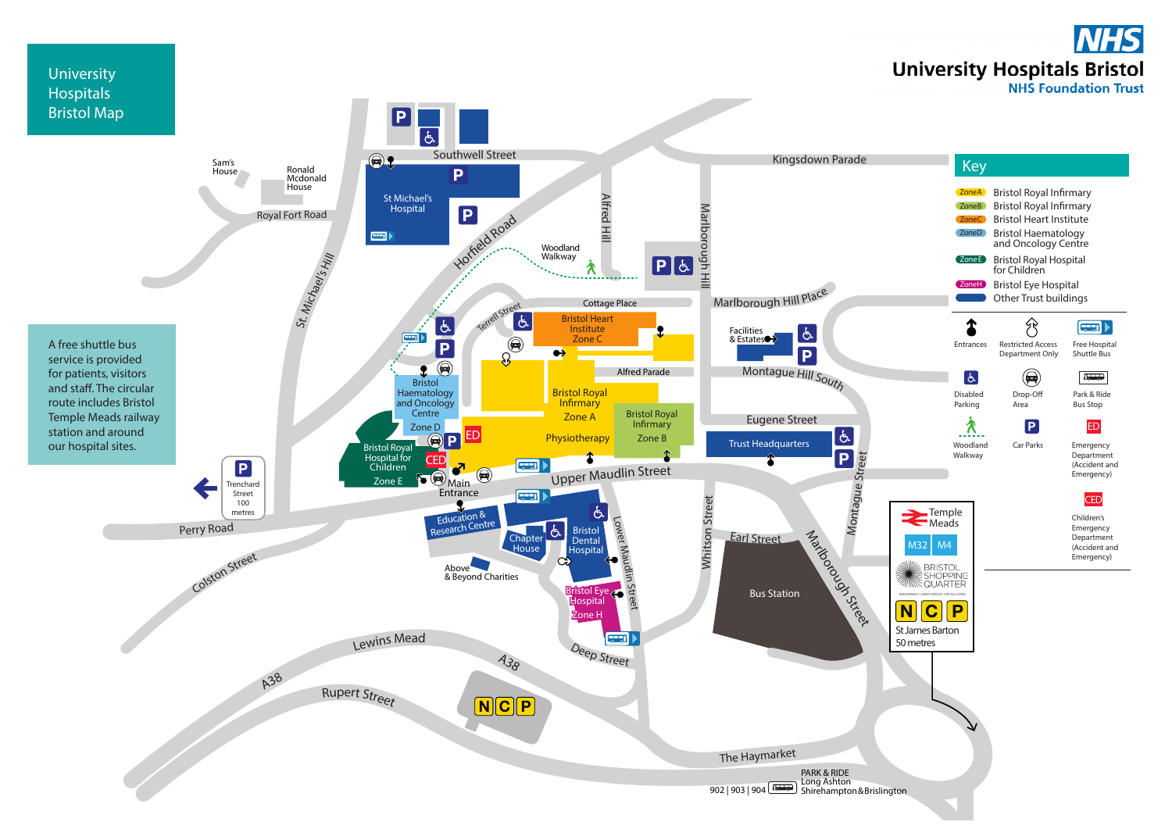